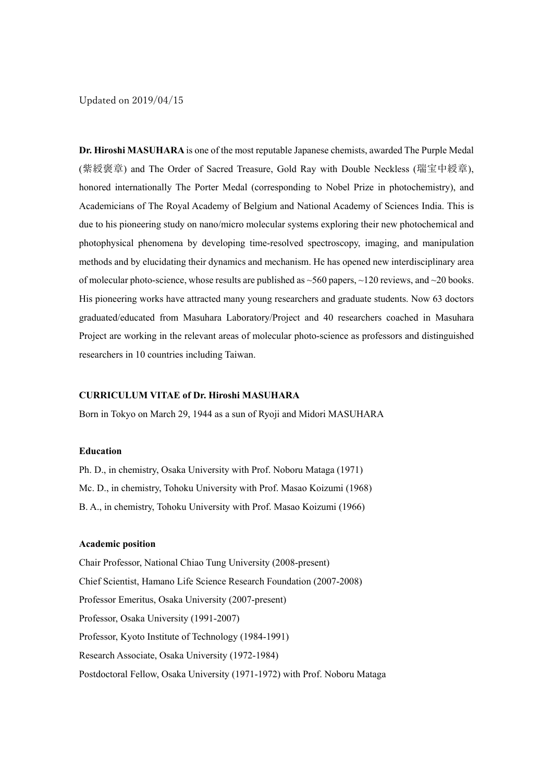Updated on 2019/04/15

**Dr. Hiroshi MASUHARA** is one of the most reputable Japanese chemists, awarded The Purple Medal (紫綬褒章) and The Order of Sacred Treasure, Gold Ray with Double Neckless (瑞宝中綬章), honored internationally The Porter Medal (corresponding to Nobel Prize in photochemistry), and Academicians of The Royal Academy of Belgium and National Academy of Sciences India. This is due to his pioneering study on nano/micro molecular systems exploring their new photochemical and photophysical phenomena by developing time-resolved spectroscopy, imaging, and manipulation methods and by elucidating their dynamics and mechanism. He has opened new interdisciplinary area of molecular photo-science, whose results are published as  $\sim$ 560 papers,  $\sim$ 120 reviews, and  $\sim$ 20 books. His pioneering works have attracted many young researchers and graduate students. Now 63 doctors graduated/educated from Masuhara Laboratory/Project and 40 researchers coached in Masuhara Project are working in the relevant areas of molecular photo-science as professors and distinguished researchers in 10 countries including Taiwan.

### **CURRICULUM VITAE of Dr. Hiroshi MASUHARA**

Born in Tokyo on March 29, 1944 as a sun of Ryoji and Midori MASUHARA

## **Education**

Ph. D., in chemistry, Osaka University with Prof. Noboru Mataga (1971) Mc. D., in chemistry, Tohoku University with Prof. Masao Koizumi (1968) B. A., in chemistry, Tohoku University with Prof. Masao Koizumi (1966)

### **Academic position**

Chair Professor, National Chiao Tung University (2008-present) Chief Scientist, Hamano Life Science Research Foundation (2007-2008) Professor Emeritus, Osaka University (2007-present) Professor, Osaka University (1991-2007) Professor, Kyoto Institute of Technology (1984-1991) Research Associate, Osaka University (1972-1984) Postdoctoral Fellow, Osaka University (1971-1972) with Prof. Noboru Mataga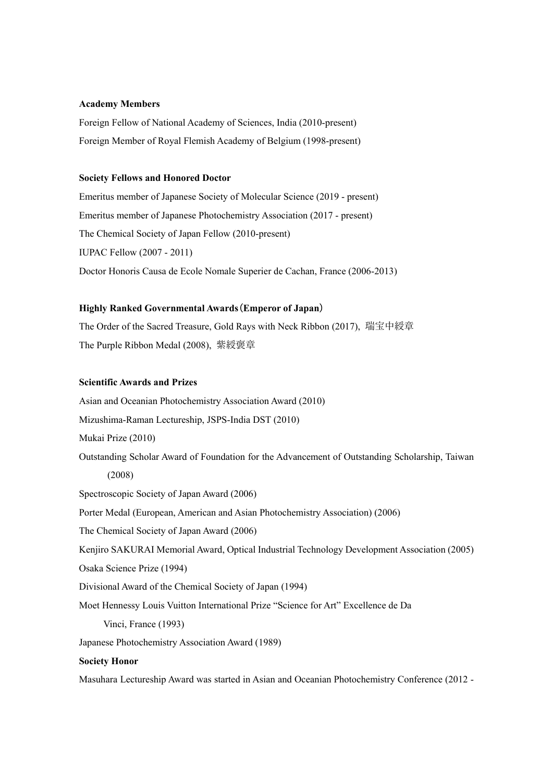### **Academy Members**

Foreign Fellow of National Academy of Sciences, India (2010-present) Foreign Member of Royal Flemish Academy of Belgium (1998-present)

### **Society Fellows and Honored Doctor**

Emeritus member of Japanese Society of Molecular Science (2019 - present) Emeritus member of Japanese Photochemistry Association (2017 - present) The Chemical Society of Japan Fellow (2010-present) IUPAC Fellow (2007 - 2011) Doctor Honoris Causa de Ecole Nomale Superier de Cachan, France (2006-2013)

## **Highly Ranked Governmental Awards**(**Emperor of Japan**)

The Order of the Sacred Treasure, Gold Rays with Neck Ribbon (2017), 瑞宝中綬章 The Purple Ribbon Medal (2008), 紫綬褒章

# **Scientific Awards and Prizes**

Asian and Oceanian Photochemistry Association Award (2010)

Mizushima-Raman Lectureship, JSPS-India DST (2010)

Mukai Prize (2010)

Outstanding Scholar Award of Foundation for the Advancement of Outstanding Scholarship, Taiwan (2008)

Spectroscopic Society of Japan Award (2006)

Porter Medal (European, American and Asian Photochemistry Association) (2006)

The Chemical Society of Japan Award (2006)

Kenjiro SAKURAI Memorial Award, Optical Industrial Technology Development Association (2005)

Osaka Science Prize (1994)

Divisional Award of the Chemical Society of Japan (1994)

Moet Hennessy Louis Vuitton International Prize "Science for Art" Excellence de Da

Vinci, France (1993)

Japanese Photochemistry Association Award (1989)

### **Society Honor**

Masuhara Lectureship Award was started in Asian and Oceanian Photochemistry Conference (2012 -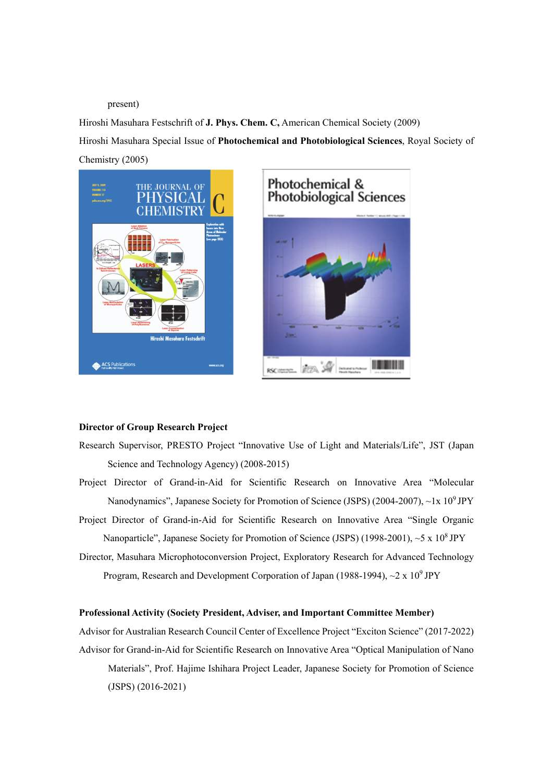#### present)

Hiroshi Masuhara Festschrift of **J. Phys. Chem. C,** American Chemical Society (2009) Hiroshi Masuhara Special Issue of **Photochemical and Photobiological Sciences**, Royal Society of Chemistry (2005)





## **Director of Group Research Project**

- Research Supervisor, PRESTO Project "Innovative Use of Light and Materials/Life", JST (Japan Science and Technology Agency) (2008-2015)
- Project Director of Grand-in-Aid for Scientific Research on Innovative Area "Molecular Nanodynamics", Japanese Society for Promotion of Science (JSPS) (2004-2007), ~1x 10<sup>9</sup> JPY
- Project Director of Grand-in-Aid for Scientific Research on Innovative Area "Single Organic Nanoparticle", Japanese Society for Promotion of Science (JSPS) (1998-2001), ~5 x 10<sup>8</sup> JPY
- Director, Masuhara Microphotoconversion Project, Exploratory Research for Advanced Technology Program, Research and Development Corporation of Japan (1988-1994),  $\sim$ 2 x 10<sup>9</sup> JPY

## **Professional Activity (Society President, Adviser, and Important Committee Member)**

Advisor for Australian Research Council Center of Excellence Project "Exciton Science" (2017-2022) Advisor for Grand-in-Aid for Scientific Research on Innovative Area "Optical Manipulation of Nano Materials", Prof. Hajime Ishihara Project Leader, Japanese Society for Promotion of Science (JSPS) (2016-2021)